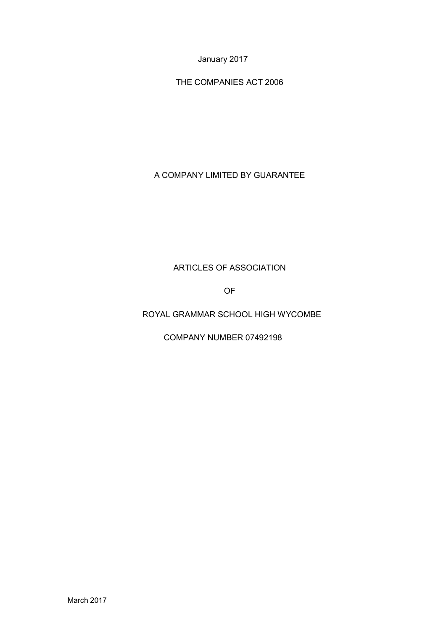January 2017

THE COMPANIES ACT 2006

A COMPANY LIMITED BY GUARANTEE

# ARTICLES OF ASSOCIATION

OF

ROYAL GRAMMAR SCHOOL HIGH WYCOMBE

COMPANY NUMBER 07492198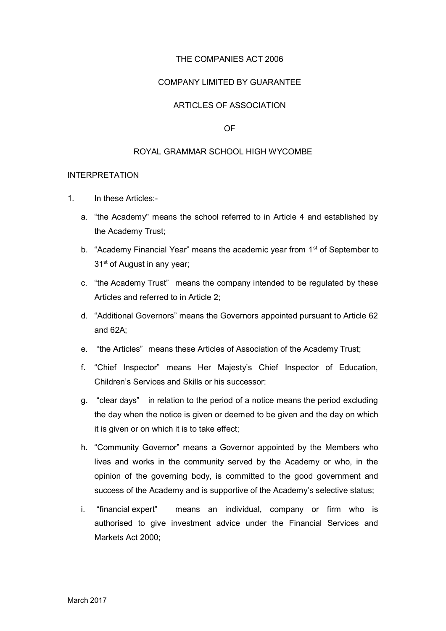## THE COMPANIES ACT 2006

## COMPANY LIMITED BY GUARANTEE

## ARTICLES OF ASSOCIATION

### OF

## ROYAL GRAMMAR SCHOOL HIGH WYCOMBE

### INTERPRETATION

- 1. In these Articles:
	- a. "the Academy" means the school referred to in Article 4 and established by the Academy Trust;
	- b. "Academy Financial Year" means the academic year from 1<sup>st</sup> of September to 31<sup>st</sup> of August in any year;
	- c. "the Academy Trust" means the company intended to be regulated by these Articles and referred to in Article 2;
	- d. "Additional Governors" means the Governors appointed pursuant to Article 62 and 62A;
	- e. "the Articles" means these Articles of Association of the Academy Trust;
	- f. "Chief Inspector" means Her Majesty's Chief Inspector of Education, Children's Services and Skills or his successor:
	- g. "clear days" in relation to the period of a notice means the period excluding the day when the notice is given or deemed to be given and the day on which it is given or on which it is to take effect;
	- h. "Community Governor" means a Governor appointed by the Members who lives and works in the community served by the Academy or who, in the opinion of the governing body, is committed to the good government and success of the Academy and is supportive of the Academy's selective status;
	- i. "financial expert" means an individual, company or firm who is authorised to give investment advice under the Financial Services and Markets Act 2000;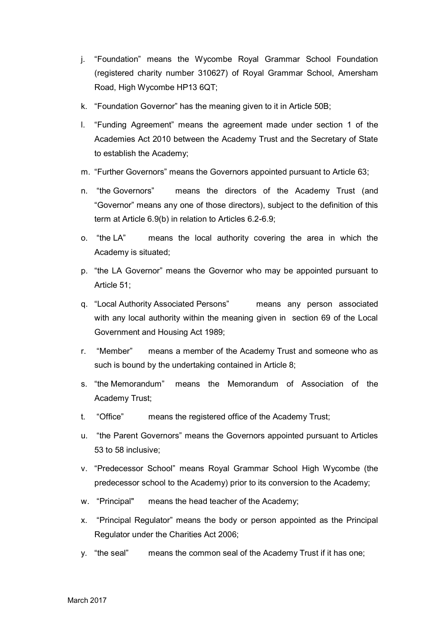- j. "Foundation" means the Wycombe Royal Grammar School Foundation (registered charity number 310627) of Royal Grammar School, Amersham Road, High Wycombe HP13 6QT;
- k. "Foundation Governor" has the meaning given to it in Article 50B;
- l. "Funding Agreement" means the agreement made under section 1 of the Academies Act 2010 between the Academy Trust and the Secretary of State to establish the Academy;
- m. "Further Governors" means the Governors appointed pursuant to Article 63;
- n. "the Governors" means the directors of the Academy Trust (and "Governor" means any one of those directors), subject to the definition of this term at Article 6.9(b) in relation to Articles 6.2-6.9;
- o. "the LA" means the local authority covering the area in which the Academy is situated;
- p. "the LA Governor" means the Governor who may be appointed pursuant to Article 51;
- q. "Local Authority Associated Persons" means any person associated with any local authority within the meaning given in section 69 of the Local Government and Housing Act 1989;
- r. "Member" means a member of the Academy Trust and someone who as such is bound by the undertaking contained in Article 8;
- s. "the Memorandum" means the Memorandum of Association of the Academy Trust;
- t. "Office" means the registered office of the Academy Trust;
- u. "the Parent Governors" means the Governors appointed pursuant to Articles 53 to 58 inclusive;
- v. "Predecessor School" means Royal Grammar School High Wycombe (the predecessor school to the Academy) prior to its conversion to the Academy;
- w. "Principal" means the head teacher of the Academy;
- x. "Principal Regulator" means the body or person appointed as the Principal Regulator under the Charities Act 2006;
- y. "the seal" means the common seal of the Academy Trust if it has one;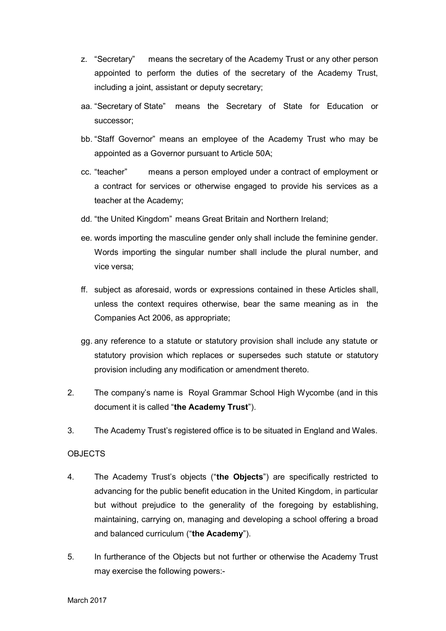- z. "Secretary" means the secretary of the Academy Trust or any other person appointed to perform the duties of the secretary of the Academy Trust, including a joint, assistant or deputy secretary;
- aa. "Secretary of State" means the Secretary of State for Education or successor;
- bb. "Staff Governor" means an employee of the Academy Trust who may be appointed as a Governor pursuant to Article 50A;
- cc. "teacher" means a person employed under a contract of employment or a contract for services or otherwise engaged to provide his services as a teacher at the Academy;
- dd. "the United Kingdom" means Great Britain and Northern Ireland;
- ee. words importing the masculine gender only shall include the feminine gender. Words importing the singular number shall include the plural number, and vice versa;
- ff. subject as aforesaid, words or expressions contained in these Articles shall, unless the context requires otherwise, bear the same meaning as in the Companies Act 2006, as appropriate;
- gg. any reference to a statute or statutory provision shall include any statute or statutory provision which replaces or supersedes such statute or statutory provision including any modification or amendment thereto.
- 2. The company's name is Royal Grammar School High Wycombe (and in this document it is called "**the Academy Trust**").
- 3. The Academy Trust's registered office is to be situated in England and Wales.

## **OBJECTS**

- 4. The Academy Trust's objects ("**the Objects**") are specifically restricted to advancing for the public benefit education in the United Kingdom, in particular but without prejudice to the generality of the foregoing by establishing, maintaining, carrying on, managing and developing a school offering a broad and balanced curriculum ("**the Academy**").
- 5. In furtherance of the Objects but not further or otherwise the Academy Trust may exercise the following powers:-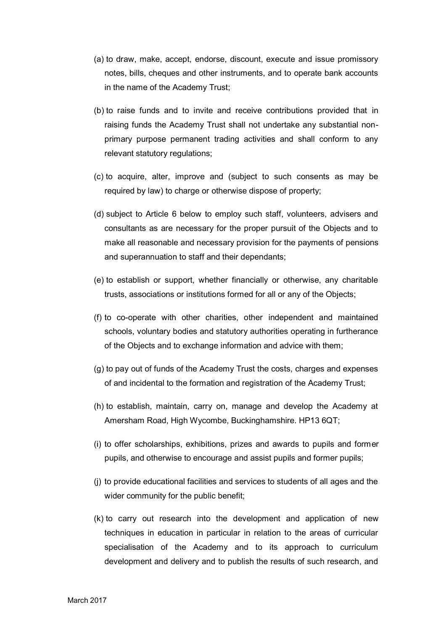- (a) to draw, make, accept, endorse, discount, execute and issue promissory notes, bills, cheques and other instruments, and to operate bank accounts in the name of the Academy Trust;
- (b) to raise funds and to invite and receive contributions provided that in raising funds the Academy Trust shall not undertake any substantial nonprimary purpose permanent trading activities and shall conform to any relevant statutory regulations;
- (c) to acquire, alter, improve and (subject to such consents as may be required by law) to charge or otherwise dispose of property;
- (d) subject to Article 6 below to employ such staff, volunteers, advisers and consultants as are necessary for the proper pursuit of the Objects and to make all reasonable and necessary provision for the payments of pensions and superannuation to staff and their dependants;
- (e) to establish or support, whether financially or otherwise, any charitable trusts, associations or institutions formed for all or any of the Objects;
- (f) to co-operate with other charities, other independent and maintained schools, voluntary bodies and statutory authorities operating in furtherance of the Objects and to exchange information and advice with them;
- (g) to pay out of funds of the Academy Trust the costs, charges and expenses of and incidental to the formation and registration of the Academy Trust;
- (h) to establish, maintain, carry on, manage and develop the Academy at Amersham Road, High Wycombe, Buckinghamshire. HP13 6QT;
- (i) to offer scholarships, exhibitions, prizes and awards to pupils and former pupils, and otherwise to encourage and assist pupils and former pupils;
- (j) to provide educational facilities and services to students of all ages and the wider community for the public benefit;
- (k) to carry out research into the development and application of new techniques in education in particular in relation to the areas of curricular specialisation of the Academy and to its approach to curriculum development and delivery and to publish the results of such research, and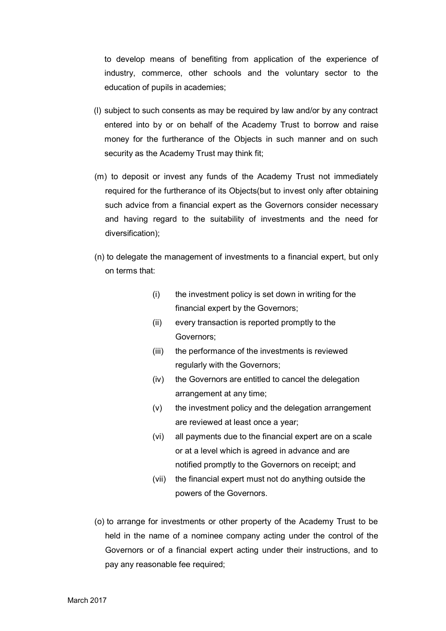to develop means of benefiting from application of the experience of industry, commerce, other schools and the voluntary sector to the education of pupils in academies;

- (l) subject to such consents as may be required by law and/or by any contract entered into by or on behalf of the Academy Trust to borrow and raise money for the furtherance of the Objects in such manner and on such security as the Academy Trust may think fit;
- (m) to deposit or invest any funds of the Academy Trust not immediately required for the furtherance of its Objects(but to invest only after obtaining such advice from a financial expert as the Governors consider necessary and having regard to the suitability of investments and the need for diversification);
- (n) to delegate the management of investments to a financial expert, but only on terms that:
	- (i) the investment policy is set down in writing for the financial expert by the Governors;
	- (ii) every transaction is reported promptly to the Governors;
	- (iii) the performance of the investments is reviewed regularly with the Governors;
	- (iv) the Governors are entitled to cancel the delegation arrangement at any time;
	- (v) the investment policy and the delegation arrangement are reviewed at least once a year;
	- (vi) all payments due to the financial expert are on a scale or at a level which is agreed in advance and are notified promptly to the Governors on receipt; and
	- (vii) the financial expert must not do anything outside the powers of the Governors.
- (o) to arrange for investments or other property of the Academy Trust to be held in the name of a nominee company acting under the control of the Governors or of a financial expert acting under their instructions, and to pay any reasonable fee required;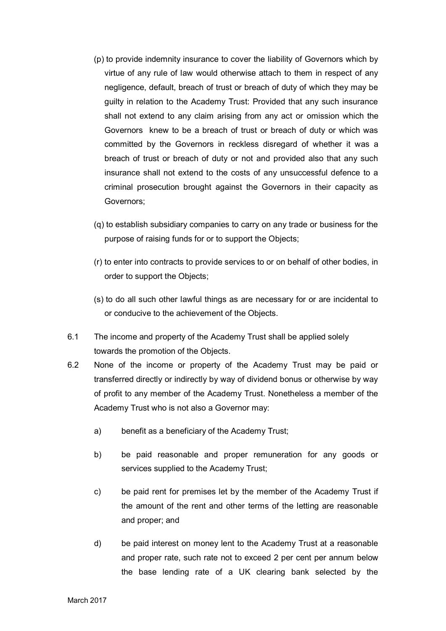- (p) to provide indemnity insurance to cover the liability of Governors which by virtue of any rule of law would otherwise attach to them in respect of any negligence, default, breach of trust or breach of duty of which they may be guilty in relation to the Academy Trust: Provided that any such insurance shall not extend to any claim arising from any act or omission which the Governors knew to be a breach of trust or breach of duty or which was committed by the Governors in reckless disregard of whether it was a breach of trust or breach of duty or not and provided also that any such insurance shall not extend to the costs of any unsuccessful defence to a criminal prosecution brought against the Governors in their capacity as Governors;
- (q) to establish subsidiary companies to carry on any trade or business for the purpose of raising funds for or to support the Objects;
- (r) to enter into contracts to provide services to or on behalf of other bodies, in order to support the Objects;
- (s) to do all such other lawful things as are necessary for or are incidental to or conducive to the achievement of the Objects.
- 6.1 The income and property of the Academy Trust shall be applied solely towards the promotion of the Objects.
- 6.2 None of the income or property of the Academy Trust may be paid or transferred directly or indirectly by way of dividend bonus or otherwise by way of profit to any member of the Academy Trust. Nonetheless a member of the Academy Trust who is not also a Governor may:
	- a) benefit as a beneficiary of the Academy Trust;
	- b) be paid reasonable and proper remuneration for any goods or services supplied to the Academy Trust;
	- c) be paid rent for premises let by the member of the Academy Trust if the amount of the rent and other terms of the letting are reasonable and proper; and
	- d) be paid interest on money lent to the Academy Trust at a reasonable and proper rate, such rate not to exceed 2 per cent per annum below the base lending rate of a UK clearing bank selected by the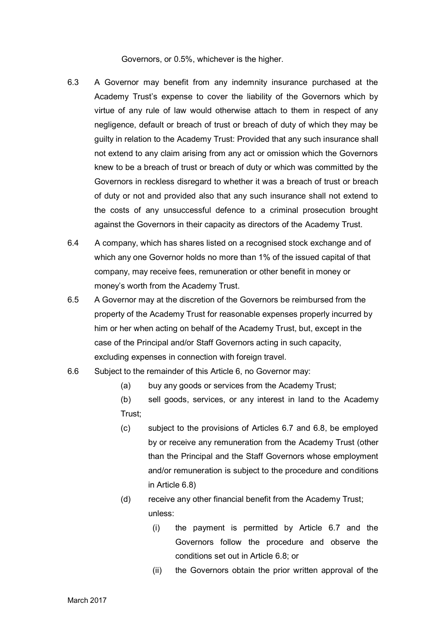Governors, or 0.5%, whichever is the higher.

- 6.3 A Governor may benefit from any indemnity insurance purchased at the Academy Trust's expense to cover the liability of the Governors which by virtue of any rule of law would otherwise attach to them in respect of any negligence, default or breach of trust or breach of duty of which they may be guilty in relation to the Academy Trust: Provided that any such insurance shall not extend to any claim arising from any act or omission which the Governors knew to be a breach of trust or breach of duty or which was committed by the Governors in reckless disregard to whether it was a breach of trust or breach of duty or not and provided also that any such insurance shall not extend to the costs of any unsuccessful defence to a criminal prosecution brought against the Governors in their capacity as directors of the Academy Trust.
- 6.4 A company, which has shares listed on a recognised stock exchange and of which any one Governor holds no more than 1% of the issued capital of that company, may receive fees, remuneration or other benefit in money or money's worth from the Academy Trust.
- 6.5 A Governor may at the discretion of the Governors be reimbursed from the property of the Academy Trust for reasonable expenses properly incurred by him or her when acting on behalf of the Academy Trust, but, except in the case of the Principal and/or Staff Governors acting in such capacity, excluding expenses in connection with foreign travel.
- 6.6 Subject to the remainder of this Article 6, no Governor may:
	- (a) buy any goods or services from the Academy Trust;
	- (b) sell goods, services, or any interest in land to the Academy Trust;
	- (c) subject to the provisions of Articles 6.7 and 6.8, be employed by or receive any remuneration from the Academy Trust (other than the Principal and the Staff Governors whose employment and/or remuneration is subject to the procedure and conditions in Article 6.8)
	- (d) receive any other financial benefit from the Academy Trust; unless:
		- (i) the payment is permitted by Article 6.7 and the Governors follow the procedure and observe the conditions set out in Article 6.8; or
		- (ii) the Governors obtain the prior written approval of the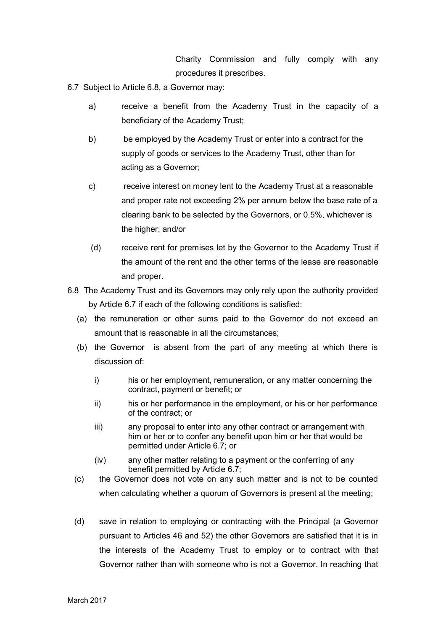Charity Commission and fully comply with any procedures it prescribes.

6.7 Subject to Article 6.8, a Governor may:

- a) receive a benefit from the Academy Trust in the capacity of a beneficiary of the Academy Trust;
- b) be employed by the Academy Trust or enter into a contract for the supply of goods or services to the Academy Trust, other than for acting as a Governor;
- c) receive interest on money lent to the Academy Trust at a reasonable and proper rate not exceeding 2% per annum below the base rate of a clearing bank to be selected by the Governors, or 0.5%, whichever is the higher; and/or
- (d) receive rent for premises let by the Governor to the Academy Trust if the amount of the rent and the other terms of the lease are reasonable and proper.
- 6.8 The Academy Trust and its Governors may only rely upon the authority provided by Article 6.7 if each of the following conditions is satisfied:
	- (a) the remuneration or other sums paid to the Governor do not exceed an amount that is reasonable in all the circumstances;
	- (b) the Governor is absent from the part of any meeting at which there is discussion of:
		- i) his or her employment, remuneration, or any matter concerning the contract, payment or benefit; or
		- ii) his or her performance in the employment, or his or her performance of the contract; or
		- iii) any proposal to enter into any other contract or arrangement with him or her or to confer any benefit upon him or her that would be permitted under Article 6.7; or
		- (iv) any other matter relating to a payment or the conferring of any benefit permitted by Article 6.7;
	- (c) the Governor does not vote on any such matter and is not to be counted when calculating whether a quorum of Governors is present at the meeting;
	- (d) save in relation to employing or contracting with the Principal (a Governor pursuant to Articles 46 and 52) the other Governors are satisfied that it is in the interests of the Academy Trust to employ or to contract with that Governor rather than with someone who is not a Governor. In reaching that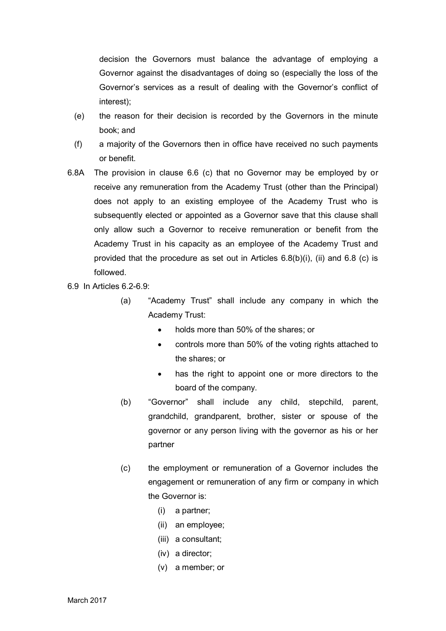decision the Governors must balance the advantage of employing a Governor against the disadvantages of doing so (especially the loss of the Governor's services as a result of dealing with the Governor's conflict of interest);

- (e) the reason for their decision is recorded by the Governors in the minute book; and
- (f) a majority of the Governors then in office have received no such payments or benefit.
- 6.8A The provision in clause 6.6 (c) that no Governor may be employed by or receive any remuneration from the Academy Trust (other than the Principal) does not apply to an existing employee of the Academy Trust who is subsequently elected or appointed as a Governor save that this clause shall only allow such a Governor to receive remuneration or benefit from the Academy Trust in his capacity as an employee of the Academy Trust and provided that the procedure as set out in Articles  $6.8(b)(i)$ , (ii) and  $6.8(c)$  is followed.
- 6.9 In Articles 6.2-6.9:
	- (a) "Academy Trust" shall include any company in which the Academy Trust:
		- holds more than 50% of the shares; or
		- controls more than 50% of the voting rights attached to the shares; or
		- has the right to appoint one or more directors to the board of the company.
	- (b) "Governor" shall include any child, stepchild, parent, grandchild, grandparent, brother, sister or spouse of the governor or any person living with the governor as his or her partner
	- (c) the employment or remuneration of a Governor includes the engagement or remuneration of any firm or company in which the Governor is:
		- (i) a partner;
		- (ii) an employee;
		- (iii) a consultant;
		- (iv) a director;
		- (v) a member; or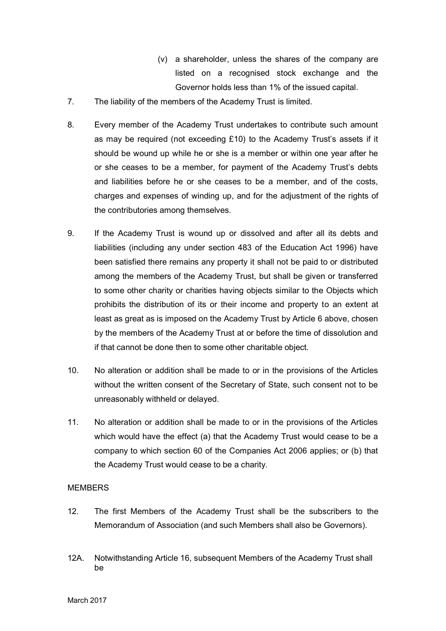- (v) a shareholder, unless the shares of the company are listed on a recognised stock exchange and the Governor holds less than 1% of the issued capital.
- 7. The liability of the members of the Academy Trust is limited.
- 8. Every member of the Academy Trust undertakes to contribute such amount as may be required (not exceeding £10) to the Academy Trust's assets if it should be wound up while he or she is a member or within one year after he or she ceases to be a member, for payment of the Academy Trust's debts and liabilities before he or she ceases to be a member, and of the costs, charges and expenses of winding up, and for the adjustment of the rights of the contributories among themselves.
- 9. If the Academy Trust is wound up or dissolved and after all its debts and liabilities (including any under section 483 of the Education Act 1996) have been satisfied there remains any property it shall not be paid to or distributed among the members of the Academy Trust, but shall be given or transferred to some other charity or charities having objects similar to the Objects which prohibits the distribution of its or their income and property to an extent at least as great as is imposed on the Academy Trust by Article 6 above, chosen by the members of the Academy Trust at or before the time of dissolution and if that cannot be done then to some other charitable object.
- 10. No alteration or addition shall be made to or in the provisions of the Articles without the written consent of the Secretary of State, such consent not to be unreasonably withheld or delayed.
- 11. No alteration or addition shall be made to or in the provisions of the Articles which would have the effect (a) that the Academy Trust would cease to be a company to which section 60 of the Companies Act 2006 applies; or (b) that the Academy Trust would cease to be a charity.

## **MEMBERS**

- 12. The first Members of the Academy Trust shall be the subscribers to the Memorandum of Association (and such Members shall also be Governors).
- 12A. Notwithstanding Article 16, subsequent Members of the Academy Trust shall be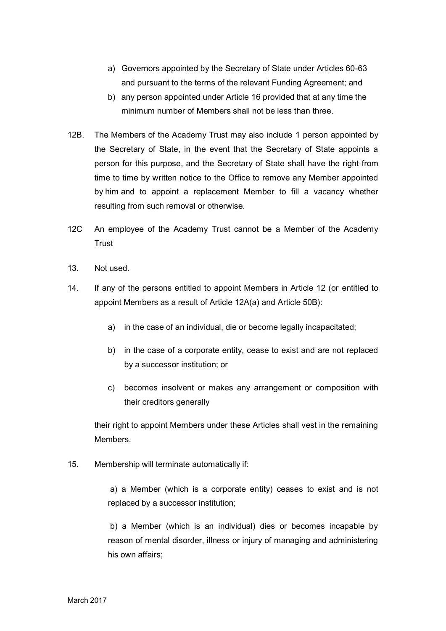- a) Governors appointed by the Secretary of State under Articles 60-63 and pursuant to the terms of the relevant Funding Agreement; and
- b) any person appointed under Article 16 provided that at any time the minimum number of Members shall not be less than three.
- 12B. The Members of the Academy Trust may also include 1 person appointed by the Secretary of State, in the event that the Secretary of State appoints a person for this purpose, and the Secretary of State shall have the right from time to time by written notice to the Office to remove any Member appointed by him and to appoint a replacement Member to fill a vacancy whether resulting from such removal or otherwise.
- 12C An employee of the Academy Trust cannot be a Member of the Academy Trust
- 13. Not used.
- 14. If any of the persons entitled to appoint Members in Article 12 (or entitled to appoint Members as a result of Article 12A(a) and Article 50B):
	- a) in the case of an individual, die or become legally incapacitated;
	- b) in the case of a corporate entity, cease to exist and are not replaced by a successor institution; or
	- c) becomes insolvent or makes any arrangement or composition with their creditors generally

their right to appoint Members under these Articles shall vest in the remaining Members.

15. Membership will terminate automatically if:

a) a Member (which is a corporate entity) ceases to exist and is not replaced by a successor institution;

b) a Member (which is an individual) dies or becomes incapable by reason of mental disorder, illness or injury of managing and administering his own affairs;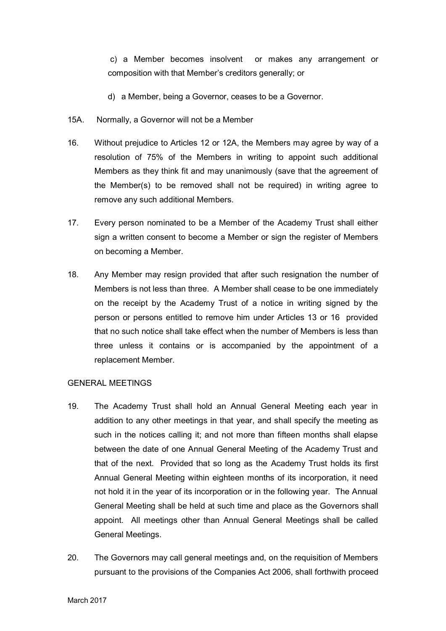c) a Member becomes insolvent or makes any arrangement or composition with that Member's creditors generally; or

- d) a Member, being a Governor, ceases to be a Governor.
- 15A. Normally, a Governor will not be a Member
- 16. Without prejudice to Articles 12 or 12A, the Members may agree by way of a resolution of 75% of the Members in writing to appoint such additional Members as they think fit and may unanimously (save that the agreement of the Member(s) to be removed shall not be required) in writing agree to remove any such additional Members.
- 17. Every person nominated to be a Member of the Academy Trust shall either sign a written consent to become a Member or sign the register of Members on becoming a Member.
- 18. Any Member may resign provided that after such resignation the number of Members is not less than three. A Member shall cease to be one immediately on the receipt by the Academy Trust of a notice in writing signed by the person or persons entitled to remove him under Articles 13 or 16 provided that no such notice shall take effect when the number of Members is less than three unless it contains or is accompanied by the appointment of a replacement Member.

## GENERAL MEETINGS

- 19. The Academy Trust shall hold an Annual General Meeting each year in addition to any other meetings in that year, and shall specify the meeting as such in the notices calling it; and not more than fifteen months shall elapse between the date of one Annual General Meeting of the Academy Trust and that of the next. Provided that so long as the Academy Trust holds its first Annual General Meeting within eighteen months of its incorporation, it need not hold it in the year of its incorporation or in the following year. The Annual General Meeting shall be held at such time and place as the Governors shall appoint. All meetings other than Annual General Meetings shall be called General Meetings.
- 20. The Governors may call general meetings and, on the requisition of Members pursuant to the provisions of the Companies Act 2006, shall forthwith proceed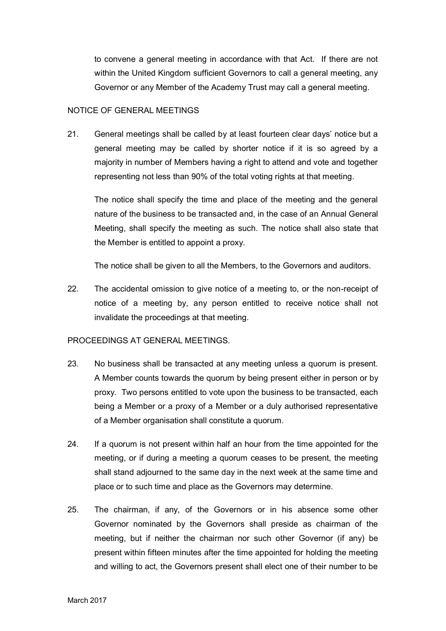to convene a general meeting in accordance with that Act. If there are not within the United Kingdom sufficient Governors to call a general meeting, any Governor or any Member of the Academy Trust may call a general meeting.

## NOTICE OF GENERAL MEETINGS

21. General meetings shall be called by at least fourteen clear days' notice but a general meeting may be called by shorter notice if it is so agreed by a majority in number of Members having a right to attend and vote and together representing not less than 90% of the total voting rights at that meeting.

The notice shall specify the time and place of the meeting and the general nature of the business to be transacted and, in the case of an Annual General Meeting, shall specify the meeting as such. The notice shall also state that the Member is entitled to appoint a proxy.

The notice shall be given to all the Members, to the Governors and auditors.

22. The accidental omission to give notice of a meeting to, or the non-receipt of notice of a meeting by, any person entitled to receive notice shall not invalidate the proceedings at that meeting.

## PROCEEDINGS AT GENERAL MEETINGS.

- 23. No business shall be transacted at any meeting unless a quorum is present. A Member counts towards the quorum by being present either in person or by proxy. Two persons entitled to vote upon the business to be transacted, each being a Member or a proxy of a Member or a duly authorised representative of a Member organisation shall constitute a quorum.
- 24. If a quorum is not present within half an hour from the time appointed for the meeting, or if during a meeting a quorum ceases to be present, the meeting shall stand adjourned to the same day in the next week at the same time and place or to such time and place as the Governors may determine.
- 25. The chairman, if any, of the Governors or in his absence some other Governor nominated by the Governors shall preside as chairman of the meeting, but if neither the chairman nor such other Governor (if any) be present within fifteen minutes after the time appointed for holding the meeting and willing to act, the Governors present shall elect one of their number to be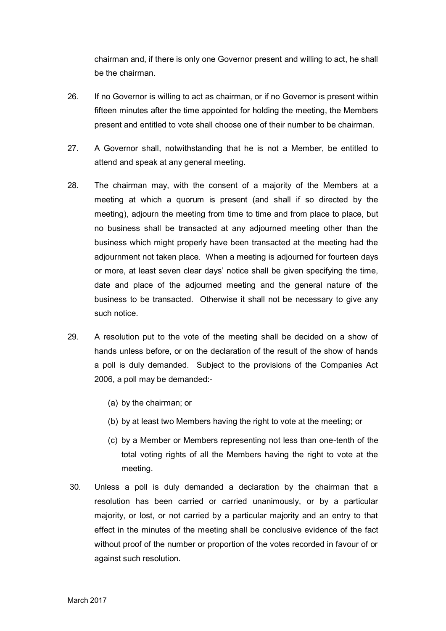chairman and, if there is only one Governor present and willing to act, he shall be the chairman.

- 26. If no Governor is willing to act as chairman, or if no Governor is present within fifteen minutes after the time appointed for holding the meeting, the Members present and entitled to vote shall choose one of their number to be chairman.
- 27. A Governor shall, notwithstanding that he is not a Member, be entitled to attend and speak at any general meeting.
- 28. The chairman may, with the consent of a majority of the Members at a meeting at which a quorum is present (and shall if so directed by the meeting), adjourn the meeting from time to time and from place to place, but no business shall be transacted at any adjourned meeting other than the business which might properly have been transacted at the meeting had the adjournment not taken place. When a meeting is adjourned for fourteen days or more, at least seven clear days' notice shall be given specifying the time, date and place of the adjourned meeting and the general nature of the business to be transacted. Otherwise it shall not be necessary to give any such notice.
- 29. A resolution put to the vote of the meeting shall be decided on a show of hands unless before, or on the declaration of the result of the show of hands a poll is duly demanded. Subject to the provisions of the Companies Act 2006, a poll may be demanded:-
	- (a) by the chairman; or
	- (b) by at least two Members having the right to vote at the meeting; or
	- (c) by a Member or Members representing not less than one-tenth of the total voting rights of all the Members having the right to vote at the meeting.
- 30. Unless a poll is duly demanded a declaration by the chairman that a resolution has been carried or carried unanimously, or by a particular majority, or lost, or not carried by a particular majority and an entry to that effect in the minutes of the meeting shall be conclusive evidence of the fact without proof of the number or proportion of the votes recorded in favour of or against such resolution.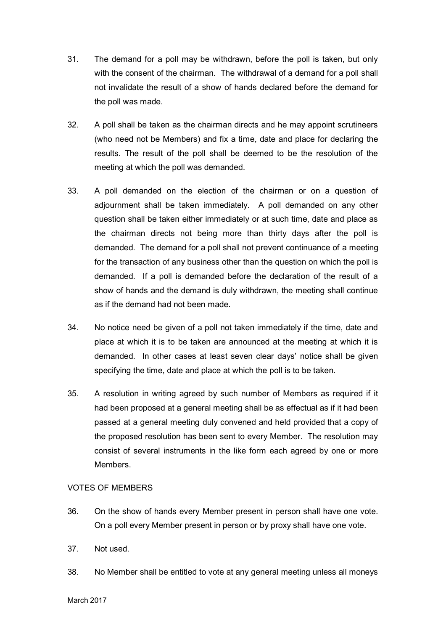- 31. The demand for a poll may be withdrawn, before the poll is taken, but only with the consent of the chairman. The withdrawal of a demand for a poll shall not invalidate the result of a show of hands declared before the demand for the poll was made.
- 32. A poll shall be taken as the chairman directs and he may appoint scrutineers (who need not be Members) and fix a time, date and place for declaring the results. The result of the poll shall be deemed to be the resolution of the meeting at which the poll was demanded.
- 33. A poll demanded on the election of the chairman or on a question of adjournment shall be taken immediately. A poll demanded on any other question shall be taken either immediately or at such time, date and place as the chairman directs not being more than thirty days after the poll is demanded. The demand for a poll shall not prevent continuance of a meeting for the transaction of any business other than the question on which the poll is demanded. If a poll is demanded before the declaration of the result of a show of hands and the demand is duly withdrawn, the meeting shall continue as if the demand had not been made.
- 34. No notice need be given of a poll not taken immediately if the time, date and place at which it is to be taken are announced at the meeting at which it is demanded. In other cases at least seven clear days' notice shall be given specifying the time, date and place at which the poll is to be taken.
- 35. A resolution in writing agreed by such number of Members as required if it had been proposed at a general meeting shall be as effectual as if it had been passed at a general meeting duly convened and held provided that a copy of the proposed resolution has been sent to every Member. The resolution may consist of several instruments in the like form each agreed by one or more Members.

## VOTES OF MEMBERS

- 36. On the show of hands every Member present in person shall have one vote. On a poll every Member present in person or by proxy shall have one vote.
- 37. Not used.
- 38. No Member shall be entitled to vote at any general meeting unless all moneys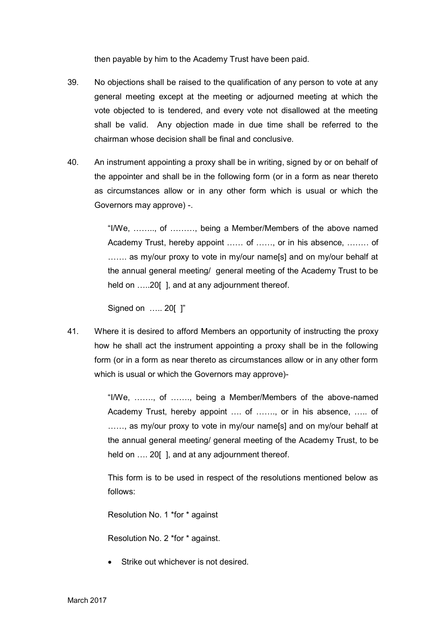then payable by him to the Academy Trust have been paid.

- 39. No objections shall be raised to the qualification of any person to vote at any general meeting except at the meeting or adjourned meeting at which the vote objected to is tendered, and every vote not disallowed at the meeting shall be valid. Any objection made in due time shall be referred to the chairman whose decision shall be final and conclusive.
- 40. An instrument appointing a proxy shall be in writing, signed by or on behalf of the appointer and shall be in the following form (or in a form as near thereto as circumstances allow or in any other form which is usual or which the Governors may approve) -.

"I/We, …….., of ………, being a Member/Members of the above named Academy Trust, hereby appoint …… of ……, or in his absence, …….. of ……. as my/our proxy to vote in my/our name[s] and on my/our behalf at the annual general meeting/ general meeting of the Academy Trust to be held on .....20[], and at any adjournment thereof.

Signed on ….. 20[ ]"

41. Where it is desired to afford Members an opportunity of instructing the proxy how he shall act the instrument appointing a proxy shall be in the following form (or in a form as near thereto as circumstances allow or in any other form which is usual or which the Governors may approve)-

> "I/We, ……., of ……., being a Member/Members of the above-named Academy Trust, hereby appoint …. of ……., or in his absence, ….. of ......, as my/our proxy to vote in my/our name[s] and on my/our behalf at the annual general meeting/ general meeting of the Academy Trust, to be held on .... 20[], and at any adjournment thereof.

> This form is to be used in respect of the resolutions mentioned below as follows:

Resolution No. 1 \*for \* against

Resolution No. 2 \*for \* against.

Strike out whichever is not desired.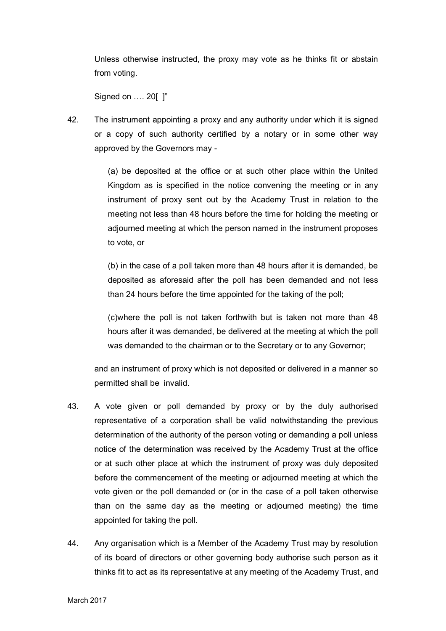Unless otherwise instructed, the proxy may vote as he thinks fit or abstain from voting.

Signed on …. 20[ ]"

42. The instrument appointing a proxy and any authority under which it is signed or a copy of such authority certified by a notary or in some other way approved by the Governors may -

> (a) be deposited at the office or at such other place within the United Kingdom as is specified in the notice convening the meeting or in any instrument of proxy sent out by the Academy Trust in relation to the meeting not less than 48 hours before the time for holding the meeting or adjourned meeting at which the person named in the instrument proposes to vote, or

> (b) in the case of a poll taken more than 48 hours after it is demanded, be deposited as aforesaid after the poll has been demanded and not less than 24 hours before the time appointed for the taking of the poll;

> (c)where the poll is not taken forthwith but is taken not more than 48 hours after it was demanded, be delivered at the meeting at which the poll was demanded to the chairman or to the Secretary or to any Governor;

and an instrument of proxy which is not deposited or delivered in a manner so permitted shall be invalid.

- 43. A vote given or poll demanded by proxy or by the duly authorised representative of a corporation shall be valid notwithstanding the previous determination of the authority of the person voting or demanding a poll unless notice of the determination was received by the Academy Trust at the office or at such other place at which the instrument of proxy was duly deposited before the commencement of the meeting or adjourned meeting at which the vote given or the poll demanded or (or in the case of a poll taken otherwise than on the same day as the meeting or adjourned meeting) the time appointed for taking the poll.
- 44. Any organisation which is a Member of the Academy Trust may by resolution of its board of directors or other governing body authorise such person as it thinks fit to act as its representative at any meeting of the Academy Trust, and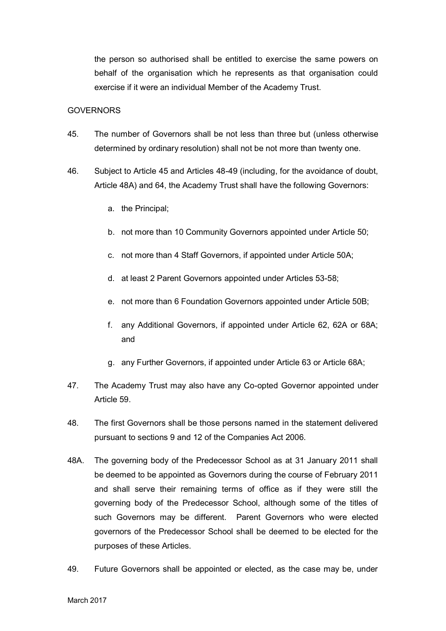the person so authorised shall be entitled to exercise the same powers on behalf of the organisation which he represents as that organisation could exercise if it were an individual Member of the Academy Trust.

### **GOVERNORS**

- 45. The number of Governors shall be not less than three but (unless otherwise determined by ordinary resolution) shall not be not more than twenty one.
- 46. Subject to Article 45 and Articles 48-49 (including, for the avoidance of doubt, Article 48A) and 64, the Academy Trust shall have the following Governors:
	- a. the Principal;
	- b. not more than 10 Community Governors appointed under Article 50;
	- c. not more than 4 Staff Governors, if appointed under Article 50A;
	- d. at least 2 Parent Governors appointed under Articles 53-58;
	- e. not more than 6 Foundation Governors appointed under Article 50B;
	- f. any Additional Governors, if appointed under Article 62, 62A or 68A; and
	- g. any Further Governors, if appointed under Article 63 or Article 68A;
- 47. The Academy Trust may also have any Co-opted Governor appointed under Article 59.
- 48. The first Governors shall be those persons named in the statement delivered pursuant to sections 9 and 12 of the Companies Act 2006.
- 48A. The governing body of the Predecessor School as at 31 January 2011 shall be deemed to be appointed as Governors during the course of February 2011 and shall serve their remaining terms of office as if they were still the governing body of the Predecessor School, although some of the titles of such Governors may be different. Parent Governors who were elected governors of the Predecessor School shall be deemed to be elected for the purposes of these Articles.
- 49. Future Governors shall be appointed or elected, as the case may be, under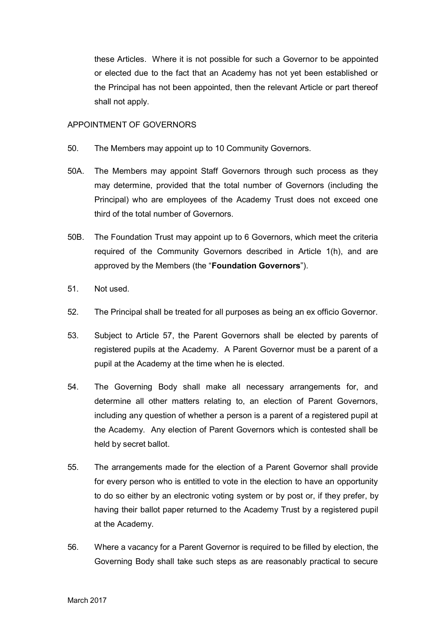these Articles. Where it is not possible for such a Governor to be appointed or elected due to the fact that an Academy has not yet been established or the Principal has not been appointed, then the relevant Article or part thereof shall not apply.

## APPOINTMENT OF GOVERNORS

- 50. The Members may appoint up to 10 Community Governors.
- 50A. The Members may appoint Staff Governors through such process as they may determine, provided that the total number of Governors (including the Principal) who are employees of the Academy Trust does not exceed one third of the total number of Governors.
- 50B. The Foundation Trust may appoint up to 6 Governors, which meet the criteria required of the Community Governors described in Article 1(h), and are approved by the Members (the "**Foundation Governors**").
- 51. Not used.
- 52. The Principal shall be treated for all purposes as being an ex officio Governor.
- 53. Subject to Article 57, the Parent Governors shall be elected by parents of registered pupils at the Academy. A Parent Governor must be a parent of a pupil at the Academy at the time when he is elected.
- 54. The Governing Body shall make all necessary arrangements for, and determine all other matters relating to, an election of Parent Governors, including any question of whether a person is a parent of a registered pupil at the Academy. Any election of Parent Governors which is contested shall be held by secret ballot.
- 55. The arrangements made for the election of a Parent Governor shall provide for every person who is entitled to vote in the election to have an opportunity to do so either by an electronic voting system or by post or, if they prefer, by having their ballot paper returned to the Academy Trust by a registered pupil at the Academy.
- 56. Where a vacancy for a Parent Governor is required to be filled by election, the Governing Body shall take such steps as are reasonably practical to secure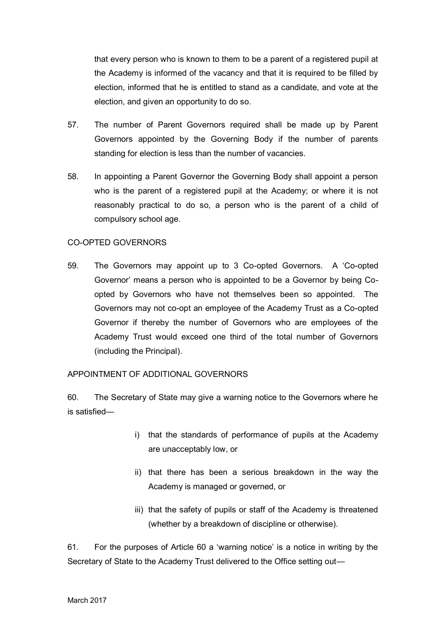that every person who is known to them to be a parent of a registered pupil at the Academy is informed of the vacancy and that it is required to be filled by election, informed that he is entitled to stand as a candidate, and vote at the election, and given an opportunity to do so.

- 57. The number of Parent Governors required shall be made up by Parent Governors appointed by the Governing Body if the number of parents standing for election is less than the number of vacancies.
- 58. In appointing a Parent Governor the Governing Body shall appoint a person who is the parent of a registered pupil at the Academy; or where it is not reasonably practical to do so, a person who is the parent of a child of compulsory school age.

## CO-OPTED GOVERNORS

59. The Governors may appoint up to 3 Co-opted Governors. A 'Co-opted Governor' means a person who is appointed to be a Governor by being Coopted by Governors who have not themselves been so appointed. The Governors may not co-opt an employee of the Academy Trust as a Co-opted Governor if thereby the number of Governors who are employees of the Academy Trust would exceed one third of the total number of Governors (including the Principal).

## APPOINTMENT OF ADDITIONAL GOVERNORS

60. The Secretary of State may give a warning notice to the Governors where he is satisfied—

- i) that the standards of performance of pupils at the Academy are unacceptably low, or
- ii) that there has been a serious breakdown in the way the Academy is managed or governed, or
- iii) that the safety of pupils or staff of the Academy is threatened (whether by a breakdown of discipline or otherwise).

61. For the purposes of Article 60 a 'warning notice' is a notice in writing by the Secretary of State to the Academy Trust delivered to the Office setting out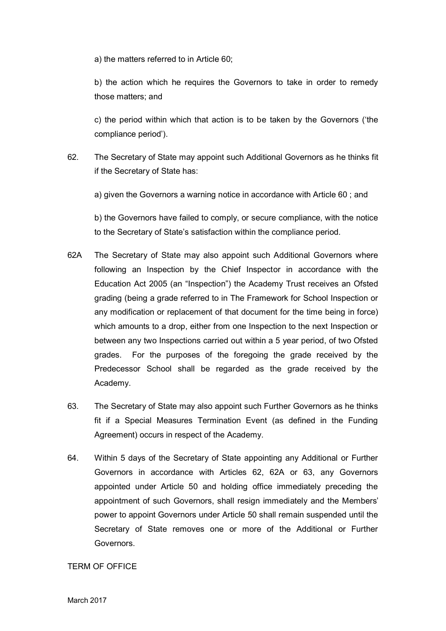a) the matters referred to in Article 60;

b) the action which he requires the Governors to take in order to remedy those matters; and

c) the period within which that action is to be taken by the Governors ('the compliance period').

62. The Secretary of State may appoint such Additional Governors as he thinks fit if the Secretary of State has:

a) given the Governors a warning notice in accordance with Article 60 ; and

b) the Governors have failed to comply, or secure compliance, with the notice to the Secretary of State's satisfaction within the compliance period.

- 62A The Secretary of State may also appoint such Additional Governors where following an Inspection by the Chief Inspector in accordance with the Education Act 2005 (an "Inspection") the Academy Trust receives an Ofsted grading (being a grade referred to in The Framework for School Inspection or any modification or replacement of that document for the time being in force) which amounts to a drop, either from one Inspection to the next Inspection or between any two Inspections carried out within a 5 year period, of two Ofsted grades. For the purposes of the foregoing the grade received by the Predecessor School shall be regarded as the grade received by the Academy.
- 63. The Secretary of State may also appoint such Further Governors as he thinks fit if a Special Measures Termination Event (as defined in the Funding Agreement) occurs in respect of the Academy.
- 64. Within 5 days of the Secretary of State appointing any Additional or Further Governors in accordance with Articles 62, 62A or 63, any Governors appointed under Article 50 and holding office immediately preceding the appointment of such Governors, shall resign immediately and the Members' power to appoint Governors under Article 50 shall remain suspended until the Secretary of State removes one or more of the Additional or Further Governors.

TERM OF OFFICE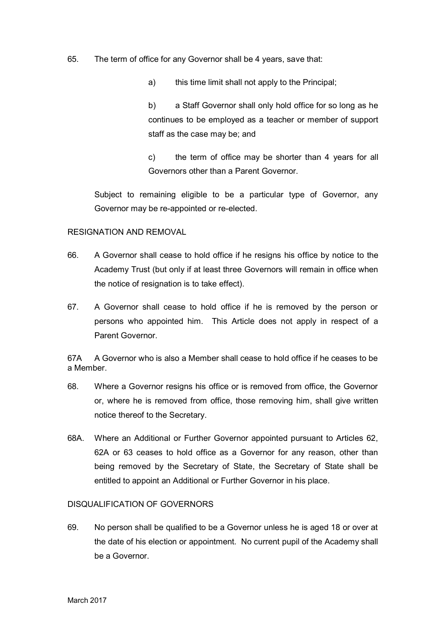- 65. The term of office for any Governor shall be 4 years, save that:
	- a) this time limit shall not apply to the Principal;

b) a Staff Governor shall only hold office for so long as he continues to be employed as a teacher or member of support staff as the case may be; and

c) the term of office may be shorter than 4 years for all Governors other than a Parent Governor.

Subject to remaining eligible to be a particular type of Governor, any Governor may be re-appointed or re-elected.

#### RESIGNATION AND REMOVAL

- 66. A Governor shall cease to hold office if he resigns his office by notice to the Academy Trust (but only if at least three Governors will remain in office when the notice of resignation is to take effect).
- 67. A Governor shall cease to hold office if he is removed by the person or persons who appointed him. This Article does not apply in respect of a Parent Governor.

67A A Governor who is also a Member shall cease to hold office if he ceases to be a Member.

- 68. Where a Governor resigns his office or is removed from office, the Governor or, where he is removed from office, those removing him, shall give written notice thereof to the Secretary.
- 68A. Where an Additional or Further Governor appointed pursuant to Articles 62, 62A or 63 ceases to hold office as a Governor for any reason, other than being removed by the Secretary of State, the Secretary of State shall be entitled to appoint an Additional or Further Governor in his place.

### DISQUALIFICATION OF GOVERNORS

69. No person shall be qualified to be a Governor unless he is aged 18 or over at the date of his election or appointment. No current pupil of the Academy shall be a Governor.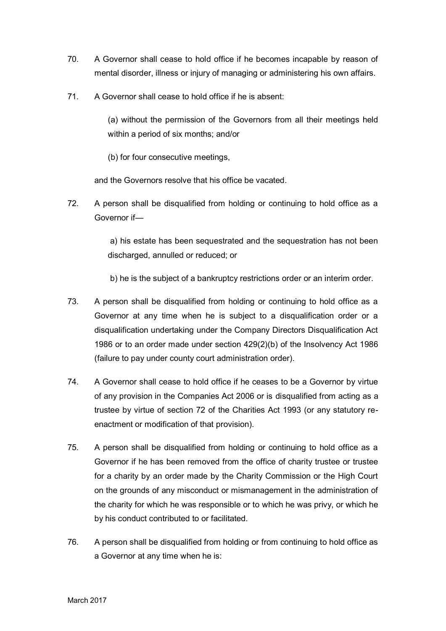- 70. A Governor shall cease to hold office if he becomes incapable by reason of mental disorder, illness or injury of managing or administering his own affairs.
- 71. A Governor shall cease to hold office if he is absent:

(a) without the permission of the Governors from all their meetings held within a period of six months; and/or

(b) for four consecutive meetings,

and the Governors resolve that his office be vacated.

72. A person shall be disqualified from holding or continuing to hold office as a Governor if—

> a) his estate has been sequestrated and the sequestration has not been discharged, annulled or reduced; or

b) he is the subject of a bankruptcy restrictions order or an interim order.

- 73. A person shall be disqualified from holding or continuing to hold office as a Governor at any time when he is subject to a disqualification order or a disqualification undertaking under the Company Directors Disqualification Act 1986 or to an order made under section 429(2)(b) of the Insolvency Act 1986 (failure to pay under county court administration order).
- 74. A Governor shall cease to hold office if he ceases to be a Governor by virtue of any provision in the Companies Act 2006 or is disqualified from acting as a trustee by virtue of section 72 of the Charities Act 1993 (or any statutory reenactment or modification of that provision).
- 75. A person shall be disqualified from holding or continuing to hold office as a Governor if he has been removed from the office of charity trustee or trustee for a charity by an order made by the Charity Commission or the High Court on the grounds of any misconduct or mismanagement in the administration of the charity for which he was responsible or to which he was privy, or which he by his conduct contributed to or facilitated.
- 76. A person shall be disqualified from holding or from continuing to hold office as a Governor at any time when he is: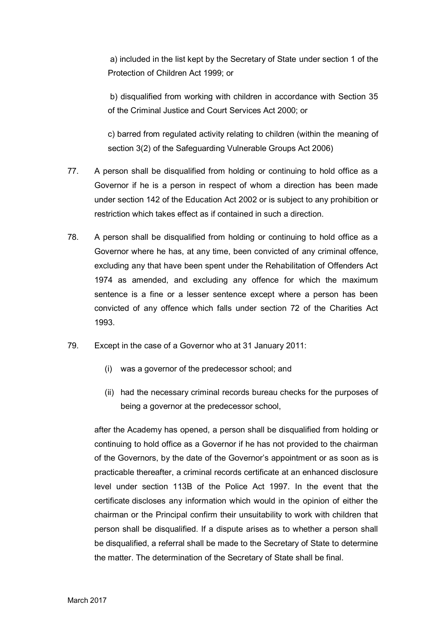a) included in the list kept by the Secretary of State under section 1 of the Protection of Children Act 1999; or

b) disqualified from working with children in accordance with Section 35 of the Criminal Justice and Court Services Act 2000; or

c) barred from regulated activity relating to children (within the meaning of section 3(2) of the Safeguarding Vulnerable Groups Act 2006)

- 77. A person shall be disqualified from holding or continuing to hold office as a Governor if he is a person in respect of whom a direction has been made under section 142 of the Education Act 2002 or is subject to any prohibition or restriction which takes effect as if contained in such a direction.
- 78. A person shall be disqualified from holding or continuing to hold office as a Governor where he has, at any time, been convicted of any criminal offence, excluding any that have been spent under the Rehabilitation of Offenders Act 1974 as amended, and excluding any offence for which the maximum sentence is a fine or a lesser sentence except where a person has been convicted of any offence which falls under section 72 of the Charities Act 1993.
- 79. Except in the case of a Governor who at 31 January 2011:
	- (i) was a governor of the predecessor school; and
	- (ii) had the necessary criminal records bureau checks for the purposes of being a governor at the predecessor school,

after the Academy has opened, a person shall be disqualified from holding or continuing to hold office as a Governor if he has not provided to the chairman of the Governors, by the date of the Governor's appointment or as soon as is practicable thereafter, a criminal records certificate at an enhanced disclosure level under section 113B of the Police Act 1997. In the event that the certificate discloses any information which would in the opinion of either the chairman or the Principal confirm their unsuitability to work with children that person shall be disqualified. If a dispute arises as to whether a person shall be disqualified, a referral shall be made to the Secretary of State to determine the matter. The determination of the Secretary of State shall be final.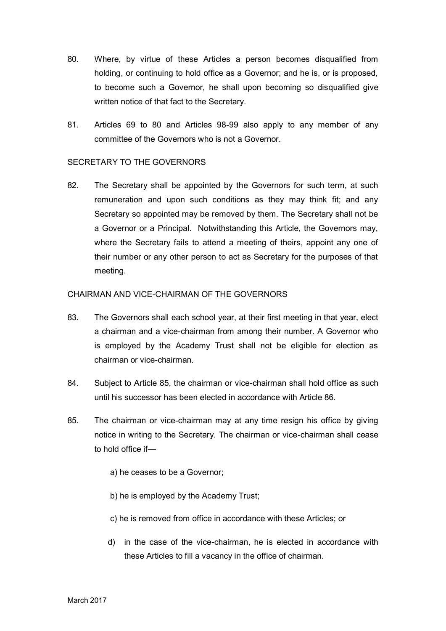- 80. Where, by virtue of these Articles a person becomes disqualified from holding, or continuing to hold office as a Governor; and he is, or is proposed, to become such a Governor, he shall upon becoming so disqualified give written notice of that fact to the Secretary.
- 81. Articles 69 to 80 and Articles 98-99 also apply to any member of any committee of the Governors who is not a Governor.

## SECRETARY TO THE GOVERNORS

82. The Secretary shall be appointed by the Governors for such term, at such remuneration and upon such conditions as they may think fit; and any Secretary so appointed may be removed by them. The Secretary shall not be a Governor or a Principal. Notwithstanding this Article, the Governors may, where the Secretary fails to attend a meeting of theirs, appoint any one of their number or any other person to act as Secretary for the purposes of that meeting.

## CHAIRMAN AND VICE-CHAIRMAN OF THE GOVERNORS

- 83. The Governors shall each school year, at their first meeting in that year, elect a chairman and a vice-chairman from among their number. A Governor who is employed by the Academy Trust shall not be eligible for election as chairman or vice-chairman.
- 84. Subject to Article 85, the chairman or vice-chairman shall hold office as such until his successor has been elected in accordance with Article 86.
- 85. The chairman or vice-chairman may at any time resign his office by giving notice in writing to the Secretary. The chairman or vice-chairman shall cease to hold office if
	- a) he ceases to be a Governor;
	- b) he is employed by the Academy Trust;
	- c) he is removed from office in accordance with these Articles; or
	- d) in the case of the vice-chairman, he is elected in accordance with these Articles to fill a vacancy in the office of chairman.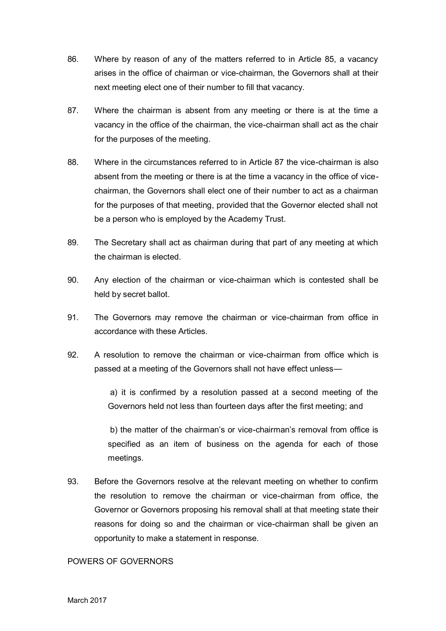- 86. Where by reason of any of the matters referred to in Article 85, a vacancy arises in the office of chairman or vice-chairman, the Governors shall at their next meeting elect one of their number to fill that vacancy.
- 87. Where the chairman is absent from any meeting or there is at the time a vacancy in the office of the chairman, the vice-chairman shall act as the chair for the purposes of the meeting.
- 88. Where in the circumstances referred to in Article 87 the vice-chairman is also absent from the meeting or there is at the time a vacancy in the office of vicechairman, the Governors shall elect one of their number to act as a chairman for the purposes of that meeting, provided that the Governor elected shall not be a person who is employed by the Academy Trust.
- 89. The Secretary shall act as chairman during that part of any meeting at which the chairman is elected.
- 90. Any election of the chairman or vice-chairman which is contested shall be held by secret ballot.
- 91. The Governors may remove the chairman or vice-chairman from office in accordance with these Articles.
- 92. A resolution to remove the chairman or vice-chairman from office which is passed at a meeting of the Governors shall not have effect unless—

a) it is confirmed by a resolution passed at a second meeting of the Governors held not less than fourteen days after the first meeting; and

b) the matter of the chairman's or vice-chairman's removal from office is specified as an item of business on the agenda for each of those meetings.

93. Before the Governors resolve at the relevant meeting on whether to confirm the resolution to remove the chairman or vice-chairman from office, the Governor or Governors proposing his removal shall at that meeting state their reasons for doing so and the chairman or vice-chairman shall be given an opportunity to make a statement in response.

## POWERS OF GOVERNORS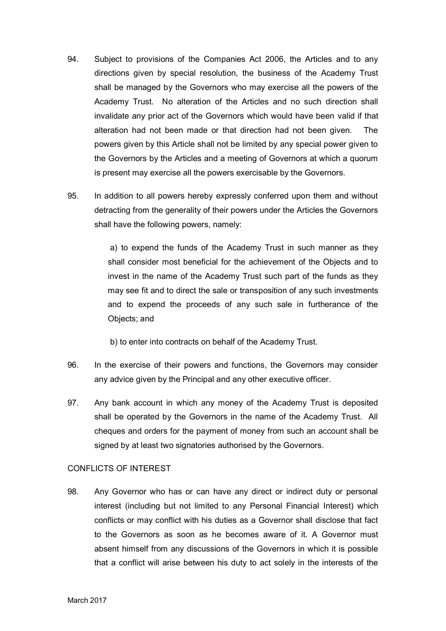- 94. Subject to provisions of the Companies Act 2006, the Articles and to any directions given by special resolution, the business of the Academy Trust shall be managed by the Governors who may exercise all the powers of the Academy Trust. No alteration of the Articles and no such direction shall invalidate any prior act of the Governors which would have been valid if that alteration had not been made or that direction had not been given. The powers given by this Article shall not be limited by any special power given to the Governors by the Articles and a meeting of Governors at which a quorum is present may exercise all the powers exercisable by the Governors.
- 95. In addition to all powers hereby expressly conferred upon them and without detracting from the generality of their powers under the Articles the Governors shall have the following powers, namely:

a) to expend the funds of the Academy Trust in such manner as they shall consider most beneficial for the achievement of the Objects and to invest in the name of the Academy Trust such part of the funds as they may see fit and to direct the sale or transposition of any such investments and to expend the proceeds of any such sale in furtherance of the Objects; and

b) to enter into contracts on behalf of the Academy Trust.

- 96. In the exercise of their powers and functions, the Governors may consider any advice given by the Principal and any other executive officer.
- 97. Any bank account in which any money of the Academy Trust is deposited shall be operated by the Governors in the name of the Academy Trust. All cheques and orders for the payment of money from such an account shall be signed by at least two signatories authorised by the Governors.

## CONFLICTS OF INTEREST

98. Any Governor who has or can have any direct or indirect duty or personal interest (including but not limited to any Personal Financial Interest) which conflicts or may conflict with his duties as a Governor shall disclose that fact to the Governors as soon as he becomes aware of it. A Governor must absent himself from any discussions of the Governors in which it is possible that a conflict will arise between his duty to act solely in the interests of the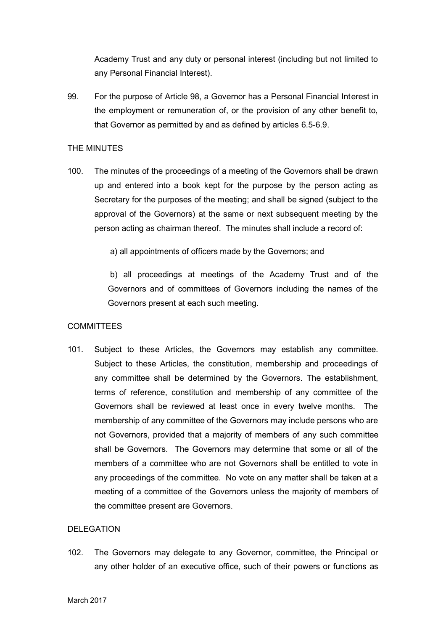Academy Trust and any duty or personal interest (including but not limited to any Personal Financial Interest).

99. For the purpose of Article 98, a Governor has a Personal Financial Interest in the employment or remuneration of, or the provision of any other benefit to, that Governor as permitted by and as defined by articles 6.5-6.9.

## THE MINUTES

100. The minutes of the proceedings of a meeting of the Governors shall be drawn up and entered into a book kept for the purpose by the person acting as Secretary for the purposes of the meeting; and shall be signed (subject to the approval of the Governors) at the same or next subsequent meeting by the person acting as chairman thereof. The minutes shall include a record of:

a) all appointments of officers made by the Governors; and

b) all proceedings at meetings of the Academy Trust and of the Governors and of committees of Governors including the names of the Governors present at each such meeting.

## COMMITTEES

101. Subject to these Articles, the Governors may establish any committee. Subject to these Articles, the constitution, membership and proceedings of any committee shall be determined by the Governors. The establishment, terms of reference, constitution and membership of any committee of the Governors shall be reviewed at least once in every twelve months. The membership of any committee of the Governors may include persons who are not Governors, provided that a majority of members of any such committee shall be Governors. The Governors may determine that some or all of the members of a committee who are not Governors shall be entitled to vote in any proceedings of the committee. No vote on any matter shall be taken at a meeting of a committee of the Governors unless the majority of members of the committee present are Governors.

## DELEGATION

102. The Governors may delegate to any Governor, committee, the Principal or any other holder of an executive office, such of their powers or functions as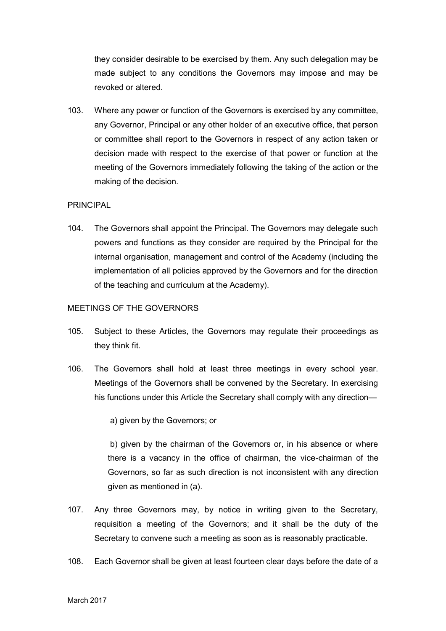they consider desirable to be exercised by them. Any such delegation may be made subject to any conditions the Governors may impose and may be revoked or altered.

103. Where any power or function of the Governors is exercised by any committee, any Governor, Principal or any other holder of an executive office, that person or committee shall report to the Governors in respect of any action taken or decision made with respect to the exercise of that power or function at the meeting of the Governors immediately following the taking of the action or the making of the decision.

### PRINCIPAL

104. The Governors shall appoint the Principal. The Governors may delegate such powers and functions as they consider are required by the Principal for the internal organisation, management and control of the Academy (including the implementation of all policies approved by the Governors and for the direction of the teaching and curriculum at the Academy).

## MEETINGS OF THE GOVERNORS

- 105. Subject to these Articles, the Governors may regulate their proceedings as they think fit.
- 106. The Governors shall hold at least three meetings in every school year. Meetings of the Governors shall be convened by the Secretary. In exercising his functions under this Article the Secretary shall comply with any direction—

a) given by the Governors; or

b) given by the chairman of the Governors or, in his absence or where there is a vacancy in the office of chairman, the vice-chairman of the Governors, so far as such direction is not inconsistent with any direction given as mentioned in (a).

- 107. Any three Governors may, by notice in writing given to the Secretary, requisition a meeting of the Governors; and it shall be the duty of the Secretary to convene such a meeting as soon as is reasonably practicable.
- 108. Each Governor shall be given at least fourteen clear days before the date of a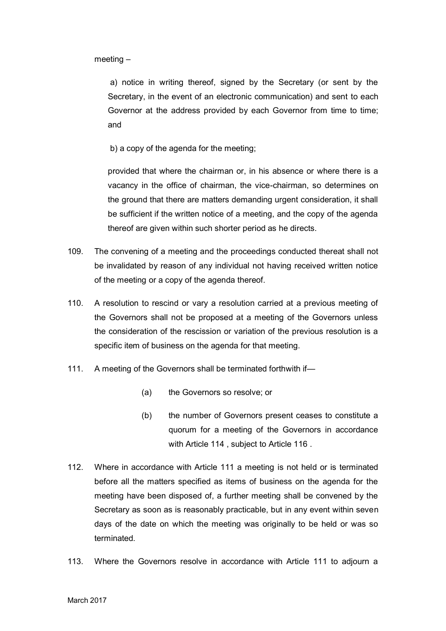meeting –

a) notice in writing thereof, signed by the Secretary (or sent by the Secretary, in the event of an electronic communication) and sent to each Governor at the address provided by each Governor from time to time; and

b) a copy of the agenda for the meeting;

provided that where the chairman or, in his absence or where there is a vacancy in the office of chairman, the vice-chairman, so determines on the ground that there are matters demanding urgent consideration, it shall be sufficient if the written notice of a meeting, and the copy of the agenda thereof are given within such shorter period as he directs.

- 109. The convening of a meeting and the proceedings conducted thereat shall not be invalidated by reason of any individual not having received written notice of the meeting or a copy of the agenda thereof.
- 110. A resolution to rescind or vary a resolution carried at a previous meeting of the Governors shall not be proposed at a meeting of the Governors unless the consideration of the rescission or variation of the previous resolution is a specific item of business on the agenda for that meeting.
- 111. A meeting of the Governors shall be terminated forthwith if-
	- (a) the Governors so resolve; or
	- (b) the number of Governors present ceases to constitute a quorum for a meeting of the Governors in accordance with Article 114 , subject to Article 116 .
- 112. Where in accordance with Article 111 a meeting is not held or is terminated before all the matters specified as items of business on the agenda for the meeting have been disposed of, a further meeting shall be convened by the Secretary as soon as is reasonably practicable, but in any event within seven days of the date on which the meeting was originally to be held or was so terminated.
- 113. Where the Governors resolve in accordance with Article 111 to adjourn a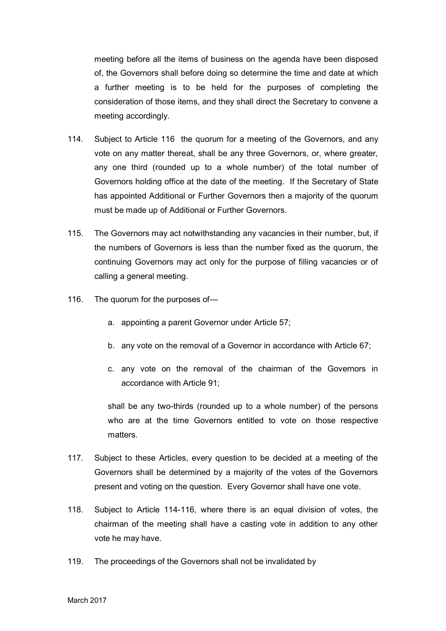meeting before all the items of business on the agenda have been disposed of, the Governors shall before doing so determine the time and date at which a further meeting is to be held for the purposes of completing the consideration of those items, and they shall direct the Secretary to convene a meeting accordingly.

- 114. Subject to Article 116 the quorum for a meeting of the Governors, and any vote on any matter thereat, shall be any three Governors, or, where greater, any one third (rounded up to a whole number) of the total number of Governors holding office at the date of the meeting. If the Secretary of State has appointed Additional or Further Governors then a majority of the quorum must be made up of Additional or Further Governors.
- 115. The Governors may act notwithstanding any vacancies in their number, but, if the numbers of Governors is less than the number fixed as the quorum, the continuing Governors may act only for the purpose of filling vacancies or of calling a general meeting.
- 116. The quorum for the purposes of
	- a. appointing a parent Governor under Article 57;
	- b. any vote on the removal of a Governor in accordance with Article 67;
	- c. any vote on the removal of the chairman of the Governors in accordance with Article 91;

shall be any two-thirds (rounded up to a whole number) of the persons who are at the time Governors entitled to vote on those respective matters.

- 117. Subject to these Articles, every question to be decided at a meeting of the Governors shall be determined by a majority of the votes of the Governors present and voting on the question. Every Governor shall have one vote.
- 118. Subject to Article 114-116, where there is an equal division of votes, the chairman of the meeting shall have a casting vote in addition to any other vote he may have.
- 119. The proceedings of the Governors shall not be invalidated by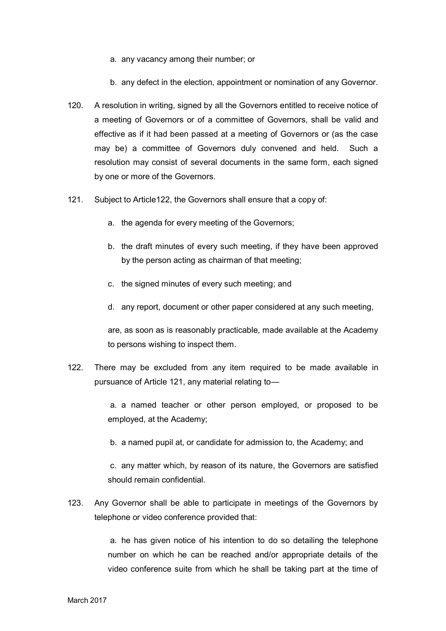- a. any vacancy among their number; or
- b. any defect in the election, appointment or nomination of any Governor.
- 120. A resolution in writing, signed by all the Governors entitled to receive notice of a meeting of Governors or of a committee of Governors, shall be valid and effective as if it had been passed at a meeting of Governors or (as the case may be) a committee of Governors duly convened and held. Such a resolution may consist of several documents in the same form, each signed by one or more of the Governors.
- 121. Subject to Article122, the Governors shall ensure that a copy of:
	- a. the agenda for every meeting of the Governors;
	- b. the draft minutes of every such meeting, if they have been approved by the person acting as chairman of that meeting;
	- c. the signed minutes of every such meeting; and
	- d. any report, document or other paper considered at any such meeting,

are, as soon as is reasonably practicable, made available at the Academy to persons wishing to inspect them.

122. There may be excluded from any item required to be made available in pursuance of Article 121, any material relating to—

> a. a named teacher or other person employed, or proposed to be employed, at the Academy;

b. a named pupil at, or candidate for admission to, the Academy; and

c. any matter which, by reason of its nature, the Governors are satisfied should remain confidential.

123. Any Governor shall be able to participate in meetings of the Governors by telephone or video conference provided that:

> a. he has given notice of his intention to do so detailing the telephone number on which he can be reached and/or appropriate details of the video conference suite from which he shall be taking part at the time of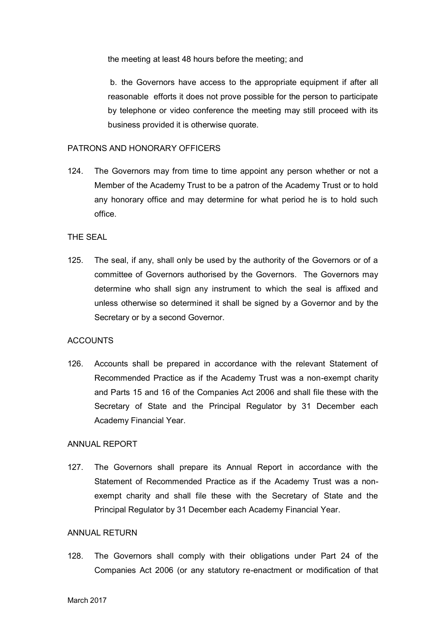the meeting at least 48 hours before the meeting; and

b. the Governors have access to the appropriate equipment if after all reasonable efforts it does not prove possible for the person to participate by telephone or video conference the meeting may still proceed with its business provided it is otherwise quorate.

#### PATRONS AND HONORARY OFFICERS

124. The Governors may from time to time appoint any person whether or not a Member of the Academy Trust to be a patron of the Academy Trust or to hold any honorary office and may determine for what period he is to hold such office.

### THE SEAL

125. The seal, if any, shall only be used by the authority of the Governors or of a committee of Governors authorised by the Governors. The Governors may determine who shall sign any instrument to which the seal is affixed and unless otherwise so determined it shall be signed by a Governor and by the Secretary or by a second Governor.

## **ACCOUNTS**

126. Accounts shall be prepared in accordance with the relevant Statement of Recommended Practice as if the Academy Trust was a non-exempt charity and Parts 15 and 16 of the Companies Act 2006 and shall file these with the Secretary of State and the Principal Regulator by 31 December each Academy Financial Year.

#### ANNUAL REPORT

127. The Governors shall prepare its Annual Report in accordance with the Statement of Recommended Practice as if the Academy Trust was a nonexempt charity and shall file these with the Secretary of State and the Principal Regulator by 31 December each Academy Financial Year.

#### ANNUAL RETURN

128. The Governors shall comply with their obligations under Part 24 of the Companies Act 2006 (or any statutory re-enactment or modification of that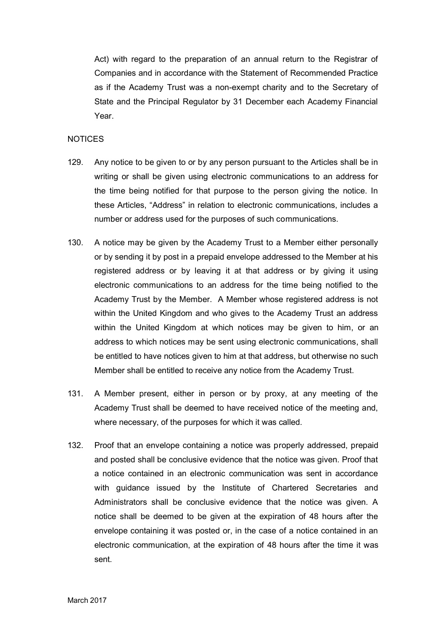Act) with regard to the preparation of an annual return to the Registrar of Companies and in accordance with the Statement of Recommended Practice as if the Academy Trust was a non-exempt charity and to the Secretary of State and the Principal Regulator by 31 December each Academy Financial Year.

### **NOTICES**

- 129. Any notice to be given to or by any person pursuant to the Articles shall be in writing or shall be given using electronic communications to an address for the time being notified for that purpose to the person giving the notice. In these Articles, "Address" in relation to electronic communications, includes a number or address used for the purposes of such communications.
- 130. A notice may be given by the Academy Trust to a Member either personally or by sending it by post in a prepaid envelope addressed to the Member at his registered address or by leaving it at that address or by giving it using electronic communications to an address for the time being notified to the Academy Trust by the Member. A Member whose registered address is not within the United Kingdom and who gives to the Academy Trust an address within the United Kingdom at which notices may be given to him, or an address to which notices may be sent using electronic communications, shall be entitled to have notices given to him at that address, but otherwise no such Member shall be entitled to receive any notice from the Academy Trust.
- 131. A Member present, either in person or by proxy, at any meeting of the Academy Trust shall be deemed to have received notice of the meeting and, where necessary, of the purposes for which it was called.
- 132. Proof that an envelope containing a notice was properly addressed, prepaid and posted shall be conclusive evidence that the notice was given. Proof that a notice contained in an electronic communication was sent in accordance with guidance issued by the Institute of Chartered Secretaries and Administrators shall be conclusive evidence that the notice was given. A notice shall be deemed to be given at the expiration of 48 hours after the envelope containing it was posted or, in the case of a notice contained in an electronic communication, at the expiration of 48 hours after the time it was sent.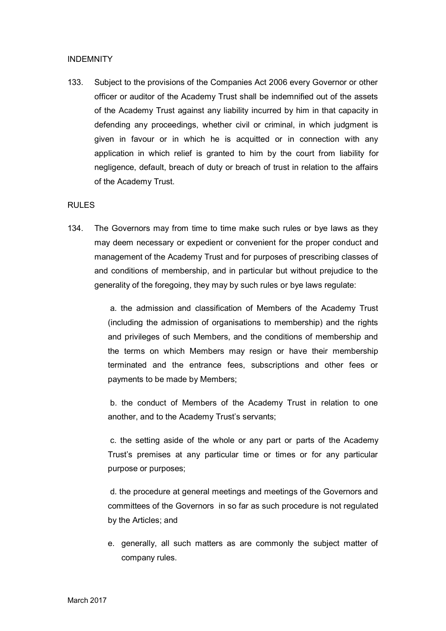## INDEMNITY

133. Subject to the provisions of the Companies Act 2006 every Governor or other officer or auditor of the Academy Trust shall be indemnified out of the assets of the Academy Trust against any liability incurred by him in that capacity in defending any proceedings, whether civil or criminal, in which judgment is given in favour or in which he is acquitted or in connection with any application in which relief is granted to him by the court from liability for negligence, default, breach of duty or breach of trust in relation to the affairs of the Academy Trust.

### RULES

134. The Governors may from time to time make such rules or bye laws as they may deem necessary or expedient or convenient for the proper conduct and management of the Academy Trust and for purposes of prescribing classes of and conditions of membership, and in particular but without prejudice to the generality of the foregoing, they may by such rules or bye laws regulate:

> a. the admission and classification of Members of the Academy Trust (including the admission of organisations to membership) and the rights and privileges of such Members, and the conditions of membership and the terms on which Members may resign or have their membership terminated and the entrance fees, subscriptions and other fees or payments to be made by Members;

> b. the conduct of Members of the Academy Trust in relation to one another, and to the Academy Trust's servants;

> c. the setting aside of the whole or any part or parts of the Academy Trust's premises at any particular time or times or for any particular purpose or purposes;

> d. the procedure at general meetings and meetings of the Governors and committees of the Governors in so far as such procedure is not regulated by the Articles; and

> e. generally, all such matters as are commonly the subject matter of company rules.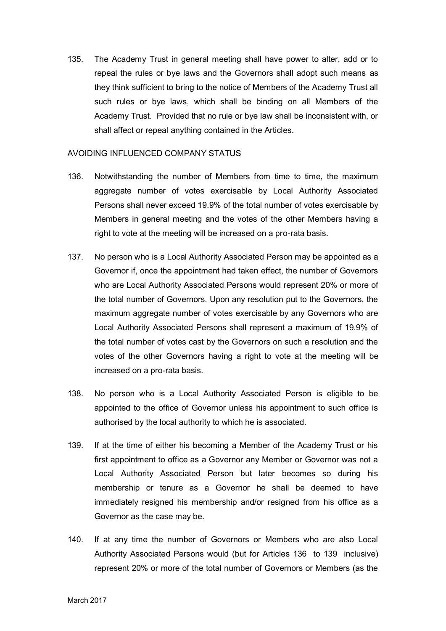135. The Academy Trust in general meeting shall have power to alter, add or to repeal the rules or bye laws and the Governors shall adopt such means as they think sufficient to bring to the notice of Members of the Academy Trust all such rules or bye laws, which shall be binding on all Members of the Academy Trust. Provided that no rule or bye law shall be inconsistent with, or shall affect or repeal anything contained in the Articles.

### AVOIDING INFLUENCED COMPANY STATUS

- 136. Notwithstanding the number of Members from time to time, the maximum aggregate number of votes exercisable by Local Authority Associated Persons shall never exceed 19.9% of the total number of votes exercisable by Members in general meeting and the votes of the other Members having a right to vote at the meeting will be increased on a pro-rata basis.
- 137. No person who is a Local Authority Associated Person may be appointed as a Governor if, once the appointment had taken effect, the number of Governors who are Local Authority Associated Persons would represent 20% or more of the total number of Governors. Upon any resolution put to the Governors, the maximum aggregate number of votes exercisable by any Governors who are Local Authority Associated Persons shall represent a maximum of 19.9% of the total number of votes cast by the Governors on such a resolution and the votes of the other Governors having a right to vote at the meeting will be increased on a pro-rata basis.
- 138. No person who is a Local Authority Associated Person is eligible to be appointed to the office of Governor unless his appointment to such office is authorised by the local authority to which he is associated.
- 139. If at the time of either his becoming a Member of the Academy Trust or his first appointment to office as a Governor any Member or Governor was not a Local Authority Associated Person but later becomes so during his membership or tenure as a Governor he shall be deemed to have immediately resigned his membership and/or resigned from his office as a Governor as the case may be.
- 140. If at any time the number of Governors or Members who are also Local Authority Associated Persons would (but for Articles 136 to 139 inclusive) represent 20% or more of the total number of Governors or Members (as the